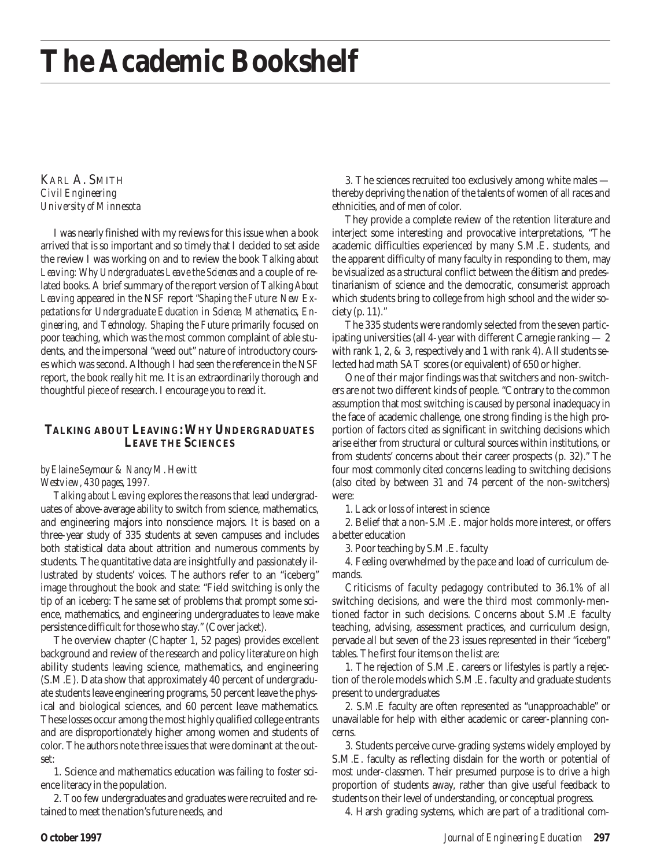# **The Academic Bookshelf**

KARL A. SMITH *Civil Engineering University of Minnesota*

I was nearly finished with my reviews for this issue when a book arrived that is so important and so timely that I decided to set aside the review I was working on and to review the book *Talking about Leaving: Why Undergraduates Leave the Sciences* and a couple of related books. A brief summary of the report version of *Talking About Leaving* appeared in the NSF report *"Shaping the Future: New Expectations for Undergraduate Education in Science, Mathematics, Engineering, and Technology. Shaping the Future* primarily focused on poor teaching, which was the most common complaint of able students, and the impersonal "weed out" nature of introductory courses which was second. Although I had seen the reference in the NSF report, the book really hit me. It is an extraordinarily thorough and thoughtful piece of research. I encourage you to read it.

## **TALKING ABOUT LEAVING: WHYUNDERGRADUATES LEAVE THE SCIENCES**

## *by Elaine Seymour & Nancy M. Hewitt Westview, 430 pages, 1997.*

*Talking about Leaving* explores the reasons that lead undergraduates of above-average ability to switch from science, mathematics, and engineering majors into nonscience majors. It is based on a three-year study of 335 students at seven campuses and includes both statistical data about attrition and numerous comments by students. The quantitative data are insightfully and passionately illustrated by students' voices. The authors refer to an "iceberg" image throughout the book and state: "Field switching is only the tip of an iceberg: The same set of problems that prompt some science, mathematics, and engineering undergraduates to leave make persistence difficult for those who stay." (Cover jacket).

The overview chapter (Chapter 1, 52 pages) provides excellent background and review of the research and policy literature on high ability students leaving science, mathematics, and engineering (S.M.E). Data show that approximately 40 percent of undergraduate students leave engineering programs, 50 percent leave the physical and biological sciences, and 60 percent leave mathematics. These losses occur among the most highly qualified college entrants and are disproportionately higher among women and students of color. The authors note three issues that were dominant at the outset:

1. Science and mathematics education was failing to foster science literacy in the population.

2. Too few undergraduates and graduates were recruited and retained to meet the nation's future needs, and

3. The sciences recruited too exclusively among white males thereby depriving the nation of the talents of women of all races and ethnicities, and of men of color.

They provide a complete review of the retention literature and interject some interesting and provocative interpretations, "The academic difficulties experienced by many S.M.E. students, and the apparent difficulty of many faculty in responding to them, may be visualized as a structural conflict between the élitism and predestinarianism of science and the democratic, consumerist approach which students bring to college from high school and the wider society (p. 11)."

The 335 students were randomly selected from the seven participating universities (all 4-year with different Carnegie ranking — 2 with rank 1, 2, & 3, respectively and 1 with rank 4). All students selected had math SAT scores (or equivalent) of 650 or higher.

One of their major findings was that switchers and non-switchers are not two different kinds of people. "Contrary to the common assumption that most switching is caused by personal inadequacy in the face of academic challenge, one strong finding is the high proportion of factors cited as significant in switching decisions which arise either from structural or cultural sources within institutions, or from students' concerns about their career prospects (p. 32)." The four most commonly cited concerns leading to switching decisions (also cited by between 31 and 74 percent of the non-switchers) were:

1. Lack or loss of interest in science

2. Belief that a non-S.M.E. major holds more interest, or offers a better education

3. Poor teaching by S.M.E. faculty

4. Feeling overwhelmed by the pace and load of curriculum demands.

Criticisms of faculty pedagogy contributed to 36.1% of all switching decisions, and were the third most commonly-mentioned factor in such decisions. Concerns about S.M.E faculty teaching, advising, assessment practices, and curriculum design, pervade all but seven of the 23 issues represented in their "iceberg" tables. The first four items on the list are:

1. The rejection of S.M.E. careers or lifestyles is partly a rejection of the role models which S.M.E. faculty and graduate students present to undergraduates

2. S.M.E faculty are often represented as "unapproachable" or unavailable for help with either academic or career-planning concerns.

3. Students perceive curve-grading systems widely employed by S.M.E. faculty as reflecting disdain for the worth or potential of most under-classmen. Their presumed purpose is to drive a high proportion of students away, rather than give useful feedback to students on their level of understanding, or conceptual progress.

4. Harsh grading systems, which are part of a traditional com-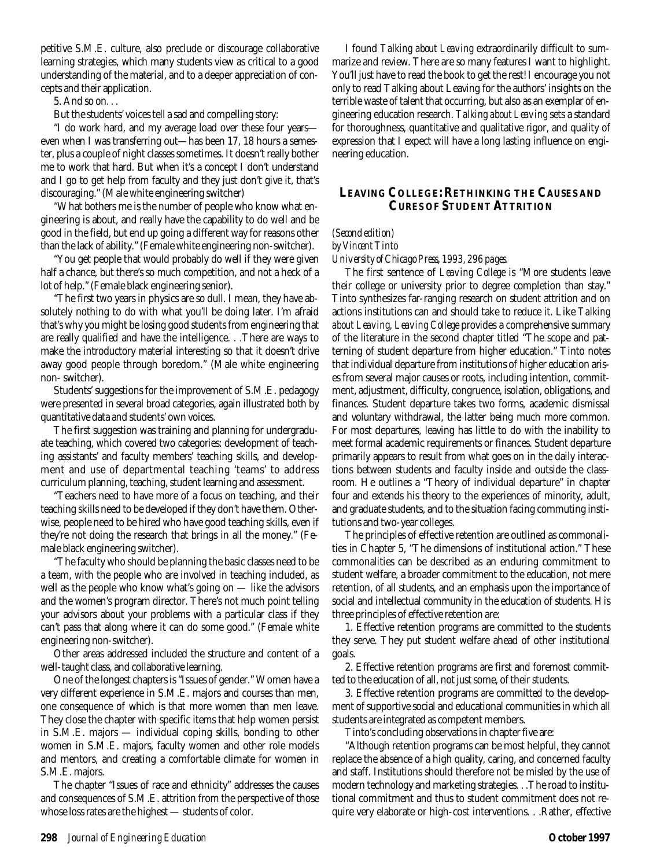petitive S.M.E. culture, also preclude or discourage collaborative learning strategies, which many students view as critical to a good understanding of the material, and to a deeper appreciation of concepts and their application.

5. And so on. . .

But the students' voices tell a sad and compelling story:

"I do work hard, and my average load over these four years even when I was transferring out—has been 17, 18 hours a semester, plus a couple of night classes sometimes. It doesn't really bother me to work that hard. But when it's a concept I don't understand and I go to get help from faculty and they just don't give it, that's discouraging." (Male white engineering switcher)

"What bothers me is the number of people who know what engineering is about, and really have the capability to do well and be good in the field, but end up going a different way for reasons other than the lack of ability." (Female white engineering non-switcher).

"You get people that would probably do well if they were given half a chance, but there's so much competition, and not a heck of a lot of help." (Female black engineering senior).

"The first two years in physics are so dull. I mean, they have absolutely nothing to do with what you'll be doing later. I'm afraid that's why you might be losing good students from engineering that are really qualified and have the intelligence. . .There are ways to make the introductory material interesting so that it doesn't drive away good people through boredom." (Male white engineering non- switcher).

Students' suggestions for the improvement of S.M.E. pedagogy were presented in several broad categories, again illustrated both by quantitative data and students' own voices.

The first suggestion was training and planning for undergraduate teaching, which covered two categories: development of teaching assistants' and faculty members' teaching skills, and development and use of departmental teaching 'teams' to address curriculum planning, teaching, student learning and assessment.

"Teachers need to have more of a focus on teaching, and their teaching skills need to be developed if they don't have them. Otherwise, people need to be hired who have good teaching skills, even if they're not doing the research that brings in all the money." (Female black engineering switcher).

"The faculty who should be planning the basic classes need to be a team, with the people who are involved in teaching included, as well as the people who know what's going on — like the advisors and the women's program director. There's not much point telling your advisors about your problems with a particular class if they can't pass that along where it can do some good." (Female white engineering non-switcher).

Other areas addressed included the structure and content of a well-taught class, and collaborative learning.

One of the longest chapters is "Issues of gender." Women have a very different experience in S.M.E. majors and courses than men, one consequence of which is that more women than men leave. They close the chapter with specific items that help women persist in S.M.E. majors — individual coping skills, bonding to other women in S.M.E. majors, faculty women and other role models and mentors, and creating a comfortable climate for women in S.M.E. majors.

The chapter "Issues of race and ethnicity" addresses the causes and consequences of S.M.E. attrition from the perspective of those whose loss rates are the highest — students of color.

I found *Talking about Leaving* extraordinarily difficult to summarize and review. There are so many features I want to highlight. You'll just have to read the book to get the rest! I encourage you not only to read Talking about Leaving for the authors' insights on the terrible waste of talent that occurring, but also as an exemplar of engineering education research. *Talking about Leaving* sets a standard for thoroughness, quantitative and qualitative rigor, and quality of expression that I expect will have a long lasting influence on engineering education.

## **LEAVING COLLEGE: RETHINKING THECAUSES AND CURES OF STUDENTATTRITION**

## *(Second edition)*

*by Vincent Tinto*

*University of Chicago Press, 1993, 296 pages.*

The first sentence of *Leaving College* is "More students leave their college or university prior to degree completion than stay." Tinto synthesizes far-ranging research on student attrition and on actions institutions can and should take to reduce it. Like *Talking about Leaving, Leaving College* provides a comprehensive summary of the literature in the second chapter titled "The scope and patterning of student departure from higher education." Tinto notes that individual departure from institutions of higher education arises from several major causes or roots, including intention, commitment, adjustment, difficulty, congruence, isolation, obligations, and finances. Student departure takes two forms, academic dismissal and voluntary withdrawal, the latter being much more common. For most departures, leaving has little to do with the inability to meet formal academic requirements or finances. Student departure primarily appears to result from what goes on in the daily interactions between students and faculty inside and outside the classroom. He outlines a "Theory of individual departure" in chapter four and extends his theory to the experiences of minority, adult, and graduate students, and to the situation facing commuting institutions and two-year colleges.

The principles of effective retention are outlined as commonalities in Chapter 5, "The dimensions of institutional action." These commonalities can be described as an enduring commitment to student welfare, a broader commitment to the education, not mere retention, of all students, and an emphasis upon the importance of social and intellectual community in the education of students. His three principles of effective retention are:

1. Effective retention programs are committed to the students they serve. They put student welfare ahead of other institutional goals.

2. Effective retention programs are first and foremost committed to the education of all, not just some, of their students.

3. Effective retention programs are committed to the development of supportive social and educational communities in which all students are integrated as competent members.

Tinto's concluding observations in chapter five are:

"Although retention programs can be most helpful, they cannot replace the absence of a high quality, caring, and concerned faculty and staff. Institutions should therefore not be misled by the use of modern technology and marketing strategies. . .The road to institutional commitment and thus to student commitment does not require very elaborate or high-cost interventions. . .Rather, effective